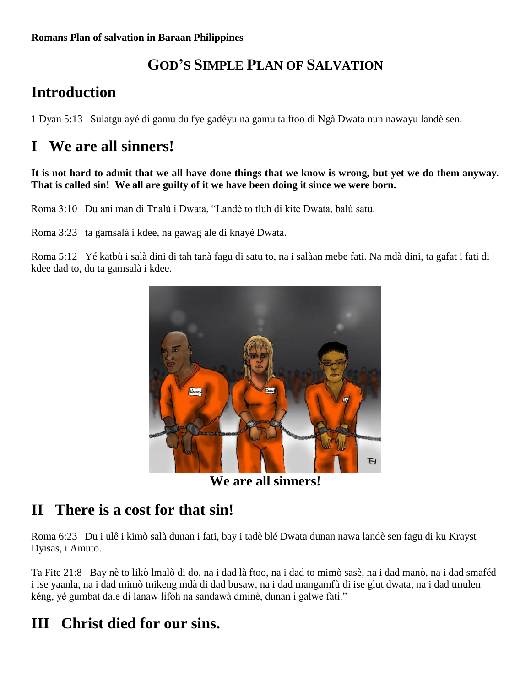# **GOD'S SIMPLE PLAN OF SALVATION**

# **Introduction**

1 Dyan 5:13 Sulatgu ayé di gamu du fye gadèyu na gamu ta ftoo di Ngà Dwata nun nawayu landè sen.

## **I We are all sinners!**

#### **It is not hard to admit that we all have done things that we know is wrong, but yet we do them anyway. That is called sin! We all are guilty of it we have been doing it since we were born.**

Roma 3:10 Du ani man di Tnalù i Dwata, "Landè to tluh di kite Dwata, balù satu.

Roma 3:23 ta gamsalà i kdee, na gawag ale di knayè Dwata.

Roma 5:12 Yé katbù i salà dini di tah tanà fagu di satu to, na i salàan mebe fati. Na mdà dini, ta gafat i fati di kdee dad to, du ta gamsalà i kdee.



**We are all sinners!**

### **II There is a cost for that sin!**

Roma 6:23 Du i ulê i kimò salà dunan i fati, bay i tadè blé Dwata dunan nawa landè sen fagu di ku Krayst Dyisas, i Amuto.

Ta Fite 21:8 Bay nè to likò lmalò di do, na i dad là ftoo, na i dad to mimò sasè, na i dad manò, na i dad smaféd i ise yaanla, na i dad mimò tnikeng mdà di dad busaw, na i dad mangamfù di ise glut dwata, na i dad tmulen kéng, yé gumbat dale di lanaw lifoh na sandawà dminè, dunan i galwe fati."

## **III Christ died for our sins.**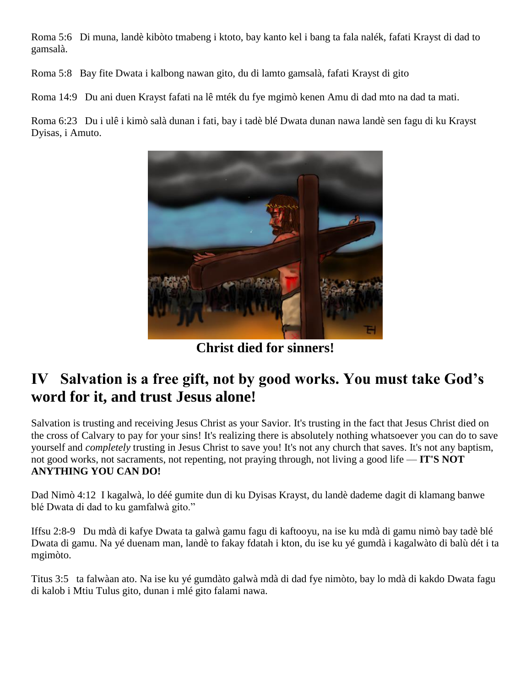Roma 5:6 Di muna, landè kibòto tmabeng i ktoto, bay kanto kel i bang ta fala nalék, fafati Krayst di dad to gamsalà.

Roma 5:8 Bay fite Dwata i kalbong nawan gito, du di lamto gamsalà, fafati Krayst di gito

Roma 14:9 Du ani duen Krayst fafati na lê mték du fye mgimò kenen Amu di dad mto na dad ta mati.

Roma 6:23 Du i ulê i kimò salà dunan i fati, bay i tadè blé Dwata dunan nawa landè sen fagu di ku Krayst Dyisas, i Amuto.



**Christ died for sinners!**

### **IV Salvation is a free gift, not by good works. You must take God's word for it, and trust Jesus alone!**

Salvation is trusting and receiving Jesus Christ as your Savior. It's trusting in the fact that Jesus Christ died on the cross of Calvary to pay for your sins! It's realizing there is absolutely nothing whatsoever you can do to save yourself and *completely* trusting in Jesus Christ to save you! It's not any church that saves. It's not any baptism, not good works, not sacraments, not repenting, not praying through, not living a good life — **IT'S NOT ANYTHING YOU CAN DO!**

Dad Nimò 4:12 I kagalwà, lo déé gumite dun di ku Dyisas Krayst, du landè dademe dagit di klamang banwe blé Dwata di dad to ku gamfalwà gito."

Iffsu 2:8-9 Du mdà di kafye Dwata ta galwà gamu fagu di kaftooyu, na ise ku mdà di gamu nimò bay tadè blé Dwata di gamu. Na yé duenam man, landè to fakay fdatah i kton, du ise ku yé gumdà i kagalwàto di balù dét i ta mgimòto.

Titus 3:5 ta falwàan ato. Na ise ku yé gumdàto galwà mdà di dad fye nimòto, bay lo mdà di kakdo Dwata fagu di kalob i Mtiu Tulus gito, dunan i mlé gito falami nawa.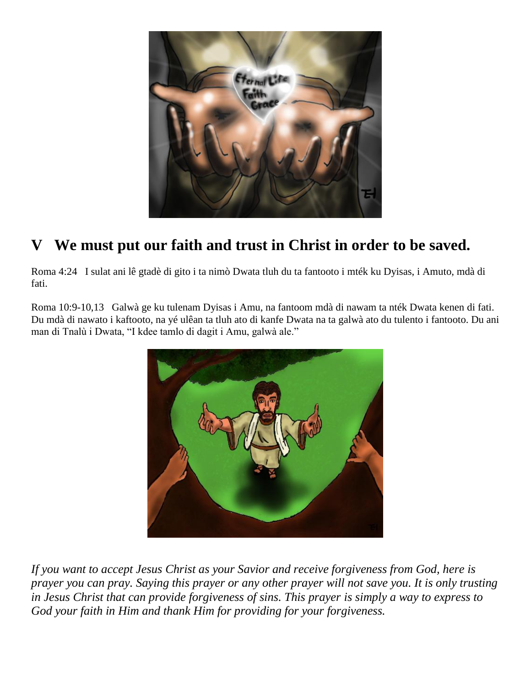

# **V We must put our faith and trust in Christ in order to be saved.**

Roma 4:24 I sulat ani lê gtadè di gito i ta nimò Dwata tluh du ta fantooto i mték ku Dyisas, i Amuto, mdà di fati.

Roma 10:9-10,13 Galwà ge ku tulenam Dyisas i Amu, na fantoom mdà di nawam ta nték Dwata kenen di fati. Du mdà di nawato i kaftooto, na yé ulêan ta tluh ato di kanfe Dwata na ta galwà ato du tulento i fantooto. Du ani man di Tnalù i Dwata, "I kdee tamlo di dagit i Amu, galwà ale."



*If you want to accept Jesus Christ as your Savior and receive forgiveness from God, here is prayer you can pray. Saying this prayer or any other prayer will not save you. It is only trusting in Jesus Christ that can provide forgiveness of sins. This prayer is simply a way to express to God your faith in Him and thank Him for providing for your forgiveness.*